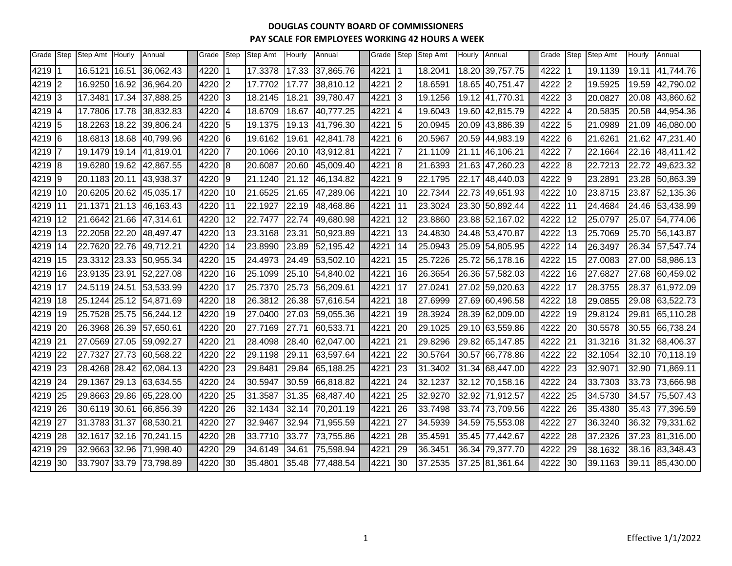| Grade | Step           | Step Amt Hourly | Annual    | Grade | <b>Step</b>    | Step Amt | Hourly | Annual    | Grade | Step           | Step Amt | Hourly | Annual          | Grade | Step            | Step Amt | Hourly | Annual    |
|-------|----------------|-----------------|-----------|-------|----------------|----------|--------|-----------|-------|----------------|----------|--------|-----------------|-------|-----------------|----------|--------|-----------|
| 4219  |                | 16.5121 16.51   | 36,062.43 | 4220  | $\vert$ 1      | 17.3378  | 17.33  | 37,865.76 | 4221  | $\overline{1}$ | 18.2041  |        | 18.20 39,757.75 | 4222  |                 | 19.1139  | 19.11  | 41,744.76 |
| 4219  | $\overline{2}$ | 16.9250 16.92   | 36,964.20 | 4220  | $\overline{2}$ | 17.7702  | 17.77  | 38,810.12 | 4221  | $\overline{2}$ | 18.6591  |        | 18.65 40,751.47 | 4222  | $\overline{2}$  | 19.5925  | 19.59  | 42,790.02 |
| 4219  | Iз             | 17.3481 17.34   | 37,888.25 | 4220  | 3              | 18.2145  | 18.21  | 39,780.47 | 4221  | 3              | 19.1256  |        | 19.12 41,770.31 | 4222  | 3               | 20.0827  | 20.08  | 43,860.62 |
| 4219  | 14             | 17.7806 17.78   | 38,832.83 | 4220  | $\overline{4}$ | 18.6709  | 18.67  | 40,777.25 | 4221  | $\overline{4}$ | 19.6043  |        | 19.60 42,815.79 | 4222  | 4               | 20.5835  | 20.58  | 44,954.36 |
| 4219  | 15             | 18.2263 18.22   | 39,806.24 | 4220  | 5              | 19.1375  | 19.13  | 41,796.30 | 4221  | 5              | 20.0945  |        | 20.09 43,886.39 | 4222  | 5               | 21.0989  | 21.09  | 46,080.00 |
| 4219  | 16             | 18.6813 18.68   | 40,799.96 | 4220  | 6              | 19.6162  | 19.61  | 42,841.78 | 4221  | 6              | 20.5967  |        | 20.59 44,983.19 | 4222  | 6               | 21.6261  | 21.62  | 47,231.40 |
| 4219  | 17             | 19.1479 19.14   | 41,819.01 | 4220  | 7              | 20.1066  | 20.10  | 43,912.81 | 4221  | 7              | 21.1109  |        | 21.11 46,106.21 | 4222  | $\overline{7}$  | 22.1664  | 22.16  | 48,411.42 |
| 4219  | 8              | 19.6280 19.62   | 42,867.55 | 4220  | 8              | 20.6087  | 20.60  | 45,009.40 | 4221  | 8              | 21.6393  |        | 21.63 47,260.23 | 4222  | 8               | 22.7213  | 22.72  | 49,623.32 |
| 4219  | 9              | 20.1183 20.11   | 43,938.37 | 4220  | 19             | 21.1240  | 21.12  | 46,134.82 | 4221  | 9              | 22.1795  |        | 22.17 48,440.03 | 4222  | 9               | 23.2891  | 23.28  | 50,863.39 |
| 4219  | 10             | 20.6205 20.62   | 45,035.17 | 4220  | 10             | 21.6525  | 21.65  | 47,289.06 | 4221  | 10             | 22.7344  |        | 22.73 49,651.93 | 4222  | 10              | 23.8715  | 23.87  | 52,135.36 |
| 4219  | 11             | 21.1371 21.13   | 46,163.43 | 4220  | 11             | 22.1927  | 22.19  | 48,468.86 | 4221  | 11             | 23.3024  |        | 23.30 50,892.44 | 4222  | 11              | 24.4684  | 24.46  | 53,438.99 |
| 4219  | 12             | 21.6642 21.66   | 47,314.61 | 4220  | 12             | 22.7477  | 22.74  | 49,680.98 | 4221  | 12             | 23.8860  |        | 23.88 52,167.02 | 4222  | 12              | 25.0797  | 25.07  | 54,774.06 |
| 4219  | 13             | 22.2058 22.20   | 48,497.47 | 4220  | 13             | 23.3168  | 23.31  | 50,923.89 | 4221  | 13             | 24.4830  |        | 24.48 53,470.87 | 4222  | 13              | 25.7069  | 25.70  | 56,143.87 |
| 4219  | 14             | 22.7620 22.76   | 49,712.21 | 4220  | 14             | 23.8990  | 23.89  | 52,195.42 | 4221  | 14             | 25.0943  |        | 25.09 54,805.95 | 4222  | 14              | 26.3497  | 26.34  | 57,547.74 |
| 4219  | 15             | 23.3312 23.33   | 50,955.34 | 4220  | 15             | 24.4973  | 24.49  | 53,502.10 | 4221  | 15             | 25.7226  |        | 25.72 56,178.16 | 4222  | 15              | 27.0083  | 27.00  | 58,986.13 |
| 4219  | 16             | 23.9135 23.91   | 52,227.08 | 4220  | 16             | 25.1099  | 25.10  | 54,840.02 | 4221  | 16             | 26.3654  |        | 26.36 57,582.03 | 4222  | 16              | 27.6827  | 27.68  | 60,459.02 |
| 4219  | l17            | 24.5119 24.51   | 53,533.99 | 4220  | 17             | 25.7370  | 25.73  | 56,209.61 | 4221  | l17            | 27.0241  |        | 27.02 59,020.63 | 4222  | 17              | 28.3755  | 28.37  | 61,972.09 |
| 4219  | 18             | 25.1244 25.12   | 54,871.69 | 4220  | 18             | 26.3812  | 26.38  | 57,616.54 | 4221  | 18             | 27.6999  |        | 27.69 60,496.58 | 4222  | 18              | 29.0855  | 29.08  | 63,522.73 |
| 4219  | 119            | 25.7528 25.75   | 56,244.12 | 4220  | 19             | 27.0400  | 27.03  | 59,055.36 | 4221  | 19             | 28.3924  |        | 28.39 62,009.00 | 4222  | 19              | 29.8124  | 29.81  | 65,110.28 |
| 4219  | 20             | 26.3968 26.39   | 57,650.61 | 4220  | 20             | 27.7169  | 27.71  | 60,533.71 | 4221  | 20             | 29.1025  |        | 29.10 63,559.86 | 4222  | 20              | 30.5578  | 30.55  | 66,738.24 |
| 4219  | 21             | 27.0569 27.05   | 59,092.27 | 4220  | 21             | 28.4098  | 28.40  | 62,047.00 | 4221  | 21             | 29.8296  |        | 29.82 65,147.85 | 4222  | $\overline{21}$ | 31.3216  | 31.32  | 68,406.37 |
| 4219  | 22             | 27.7327 27.73   | 60,568.22 | 4220  | 22             | 29.1198  | 29.11  | 63,597.64 | 4221  | 22             | 30.5764  |        | 30.57 66,778.86 | 4222  | 22              | 32.1054  | 32.10  | 70,118.19 |
| 4219  | 23             | 28.4268 28.42   | 62,084.13 | 4220  | 23             | 29.8481  | 29.84  | 65,188.25 | 4221  | 23             | 31.3402  |        | 31.34 68,447.00 | 4222  | 23              | 32.9071  | 32.90  | 71,869.11 |
| 4219  | 24             | 29.1367 29.13   | 63,634.55 | 4220  | 24             | 30.5947  | 30.59  | 66,818.82 | 4221  | 24             | 32.1237  |        | 32.12 70,158.16 | 4222  | 24              | 33.7303  | 33.73  | 73,666.98 |
| 4219  | 25             | 29.8663 29.86   | 65,228.00 | 4220  | 25             | 31.3587  | 31.35  | 68,487.40 | 4221  | 25             | 32.9270  |        | 32.92 71,912.57 | 4222  | 25              | 34.5730  | 34.57  | 75,507.43 |
| 4219  | 26             | 30.6119 30.61   | 66,856.39 | 4220  | 26             | 32.1434  | 32.14  | 70,201.19 | 4221  | 26             | 33.7498  |        | 33.74 73,709.56 | 4222  | 26              | 35.4380  | 35.43  | 77,396.59 |
| 4219  | 27             | 31.3783 31.37   | 68,530.21 | 4220  | 27             | 32.9467  | 32.94  | 71,955.59 | 4221  | 27             | 34.5939  |        | 34.59 75,553.08 | 4222  | 27              | 36.3240  | 36.32  | 79,331.62 |
| 4219  | 28             | 32.1617 32.16   | 70,241.15 | 4220  | 28             | 33.7710  | 33.77  | 73,755.86 | 4221  | 28             | 35.4591  | 35.45  | 77,442.67       | 4222  | 28              | 37.2326  | 37.23  | 81,316.00 |
| 4219  | 29             | 32.9663 32.96   | 71,998.40 | 4220  | 29             | 34.6149  | 34.61  | 75,598.94 | 4221  | 29             | 36.3451  |        | 36.34 79,377.70 | 4222  | 29              | 38.1632  | 38.16  | 83,348.43 |
| 4219  | 30             | 33.7907 33.79   | 73,798.89 | 4220  | 30             | 35.4801  | 35.48  | 77,488.54 | 4221  | 30             | 37.2535  |        | 37.25 81,361.64 | 4222  | 30              | 39.1163  | 39.11  | 85,430.00 |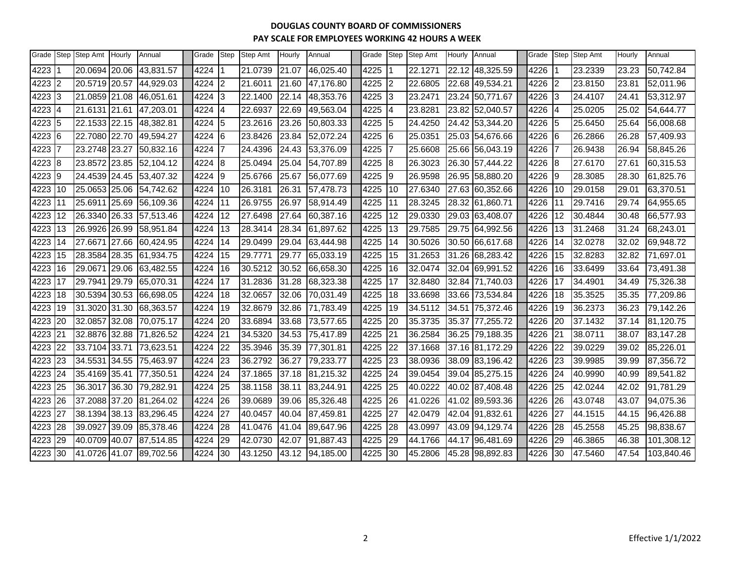| Grade |                | Step Step Amt | Hourly | Annual    | Grade  | <b>Step</b>    | Step Amt | Hourly | Annual    | Grade | Step | Step Amt | Hourly | Annual          | Grade |                | Step Step Amt | Hourly | Annual     |
|-------|----------------|---------------|--------|-----------|--------|----------------|----------|--------|-----------|-------|------|----------|--------|-----------------|-------|----------------|---------------|--------|------------|
| 4223  |                | 20.0694 20.06 |        | 43,831.57 | 4224   |                | 21.0739  | 21.07  | 46,025.40 | 4225  |      | 22.1271  |        | 22.12 48,325.59 | 4226  |                | 23.2339       | 23.23  | 50,742.84  |
| 4223  | $\overline{2}$ | 20.5719 20.57 |        | 44,929.03 | 4224   | 2              | 21.6011  | 21.60  | 47,176.80 | 4225  | l2   | 22.6805  | 22.68  | 49,534.21       | 4226  | $\overline{2}$ | 23.8150       | 23.81  | 52,011.96  |
| 4223  | 3              | 21.0859 21.08 |        | 46,051.61 | 4224   | $\vert$ 3      | 22.1400  | 22.14  | 48,353.76 | 4225  | l3   | 23.2471  | 23.24  | 50,771.67       | 4226  | 3              | 24.4107       | 24.41  | 53,312.97  |
| 4223  | 4              | 21.6131       | 21.61  | 47,203.01 | 4224   | 14             | 22.6937  | 22.69  | 49,563.04 | 4225  | 14   | 23.8281  | 23.82  | 52,040.57       | 4226  | 4              | 25.0205       | 25.02  | 54,644.77  |
| 4223  | 5              | 22.1533 22.15 |        | 48,382.81 | 4224 5 |                | 23.2616  | 23.26  | 50,803.33 | 4225  | l5   | 24.4250  | 24.42  | 53,344.20       | 4226  | 5              | 25.6450       | 25.64  | 56,008.68  |
| 4223  | 16             | 22.7080       | 22.70  | 49,594.27 | 4224   | $\overline{6}$ | 23.8426  | 23.84  | 52,072.24 | 4225  | l6   | 25.0351  |        | 25.03 54,676.66 | 4226  | 6              | 26.2866       | 26.28  | 57,409.93  |
| 4223  |                | 23.2748       | 23.27  | 50,832.16 | 4224   |                | 24.4396  | 24.43  | 53,376.09 | 4225  |      | 25.6608  | 25.66  | 56,043.19       | 4226  | 7              | 26.9438       | 26.94  | 58,845.26  |
| 4223  | 8              | 23.8572       | 23.85  | 52,104.12 | 4224   | 8              | 25.0494  | 25.04  | 54,707.89 | 4225  | 8    | 26.3023  | 26.30  | 57,444.22       | 4226  | 8              | 27.6170       | 27.61  | 60,315.53  |
| 4223  | 9              | 24.4539 24.45 |        | 53,407.32 | 4224   | 9              | 25.6766  | 25.67  | 56,077.69 | 4225  | 19   | 26.9598  | 26.95  | 58,880.20       | 4226  | 9              | 28.3085       | 28.30  | 61,825.76  |
| 4223  | 10             | 25.0653 25.06 |        | 54,742.62 | 4224   | 110            | 26.3181  | 26.31  | 57,478.73 | 4225  | 10   | 27.6340  |        | 27.63 60,352.66 | 4226  | 10             | 29.0158       | 29.01  | 63,370.51  |
| 4223  | 11             | 25.6911       | 25.69  | 56,109.36 | 4224   | 111            | 26.9755  | 26.97  | 58,914.49 | 4225  | 11   | 28.3245  |        | 28.32 61,860.71 | 4226  | 11             | 29.7416       | 29.74  | 64,955.65  |
| 4223  | 12             | 26.3340       | 26.33  | 57,513.46 | 4224   | 12             | 27.6498  | 27.64  | 60,387.16 | 4225  | 12   | 29.0330  | 29.03  | 63,408.07       | 4226  | 12             | 30.4844       | 30.48  | 66,577.93  |
| 4223  | 13             | 26.9926       | 26.99  | 58,951.84 | 4224   | 13             | 28.3414  | 28.34  | 61,897.62 | 4225  | 13   | 29.7585  | 29.75  | 64,992.56       | 4226  | 13             | 31.2468       | 31.24  | 68,243.01  |
| 4223  | 14             | 27.6671       | 27.66  | 60,424.95 | 4224   | <b>14</b>      | 29.0499  | 29.04  | 63,444.98 | 4225  | 14   | 30.5026  |        | 30.50 66,617.68 | 4226  | 14             | 32.0278       | 32.02  | 69,948.72  |
| 4223  | 15             | 28.3584       | 28.35  | 61,934.75 | 4224   | 15             | 29.7771  | 29.77  | 65,033.19 | 4225  | 15   | 31.2653  | 31.26  | 68,283.42       | 4226  | 15             | 32.8283       | 32.82  | 71,697.01  |
| 4223  | 16             | 29.0671       | 29.06  | 63,482.55 | 4224   | <b>16</b>      | 30.5212  | 30.52  | 66,658.30 | 4225  | 16   | 32.0474  |        | 32.04 69,991.52 | 4226  | 16             | 33.6499       | 33.64  | 73,491.38  |
| 4223  | 17             | 29.7941       | 29.79  | 65,070.31 | 4224   | 117            | 31.2836  | 31.28  | 68,323.38 | 4225  | 17   | 32.8480  | 32.84  | 71.740.03       | 4226  | 17             | 34.4901       | 34.49  | 75,326.38  |
| 4223  | 18             | 30.5394       | 30.53  | 66,698.05 | 4224   | 18             | 32.0657  | 32.06  | 70,031.49 | 4225  | 18   | 33.6698  | 33.66  | 73,534.84       | 4226  | 18             | 35.3525       | 35.35  | 77,209.86  |
| 4223  | 19             | 31.3020       | 31.30  | 68,363.57 | 4224   | l19            | 32.8679  | 32.86  | 71,783.49 | 4225  | 19   | 34.5112  | 34.51  | 75,372.46       | 4226  | 19             | 36.2373       | 36.23  | 79,142.26  |
| 4223  | 20             | 32.0857       | 32.08  | 70,075.17 | 4224   | 20             | 33.6894  | 33.68  | 73,577.65 | 4225  | 20   | 35.3735  | 35.37  | 77,255.72       | 4226  | 20             | 37.1432       | 37.14  | 81,120.75  |
| 4223  | 21             | 32.8876       | 32.88  | 71,826.52 | 4224   | 21             | 34.5320  | 34.53  | 75,417.89 | 4225  | 21   | 36.2584  |        | 36.25 79,188.35 | 4226  | 21             | 38.0711       | 38.07  | 83,147.28  |
| 4223  | 22             | 33.7104 33.71 |        | 73,623.51 | 4224   | 22             | 35.3946  | 35.39  | 77,301.81 | 4225  | 22   | 37.1668  | 37.16  | 81,172.29       | 4226  | 22             | 39.0229       | 39.02  | 85,226.01  |
| 4223  | 23             | 34.5531       | 34.55  | 75,463.97 | 4224   | <b>23</b>      | 36.2792  | 36.27  | 79.233.77 | 4225  | 23   | 38.0936  | 38.09  | 83.196.42       | 4226  | 23             | 39.9985       | 39.99  | 87,356.72  |
| 4223  | 24             | 35.4169       | 35.41  | 77,350.51 | 4224   | 24             | 37.1865  | 37.18  | 81,215.32 | 4225  | 24   | 39.0454  |        | 39.04 85,275.15 | 4226  | 24             | 40.9990       | 40.99  | 89,541.82  |
| 4223  | 25             | 36.3017       | 36.30  | 79,282.91 | 4224   | <b>25</b>      | 38.1158  | 38.11  | 83,244.91 | 4225  | 25   | 40.0222  |        | 40.02 87,408.48 | 4226  | 25             | 42.0244       | 42.02  | 91,781.29  |
| 4223  | 26             | 37.2088       | 37.20  | 81,264.02 | 4224   | 26             | 39.0689  | 39.06  | 85,326.48 | 4225  | 26   | 41.0226  |        | 41.02 89,593.36 | 4226  | 26             | 43.0748       | 43.07  | 94,075.36  |
| 4223  | 27             | 38.1394 38.13 |        | 83,296.45 | 4224   | <b>27</b>      | 40.0457  | 40.04  | 87,459.81 | 4225  | 27   | 42.0479  | 42.04  | 91,832.61       | 4226  | 27             | 44.1515       | 44.15  | 96,426.88  |
| 4223  | 28             | 39.0927       | 39.09  | 85,378.46 | 4224   | 28             | 41.0476  | 41.04  | 89,647.96 | 4225  | 28   | 43.0997  | 43.09  | 94,129.74       | 4226  | 28             | 45.2558       | 45.25  | 98,838.67  |
| 4223  | 29             | 40.0709       | 40.07  | 87,514.85 | 4224   | 29             | 42.0730  | 42.07  | 91,887.43 | 4225  | 29   | 44.1766  | 44.17  | 96,481.69       | 4226  | 29             | 46.3865       | 46.38  | 101,308.12 |
| 4223  | 30             | 41.0726       | 41.07  | 89,702.56 | 4224   | 130            | 43.1250  | 43.12  | 94,185.00 | 4225  | 30   | 45.2806  | 45.28  | 98,892.83       | 4226  | 30             | 47.5460       | 47.54  | 103,840.46 |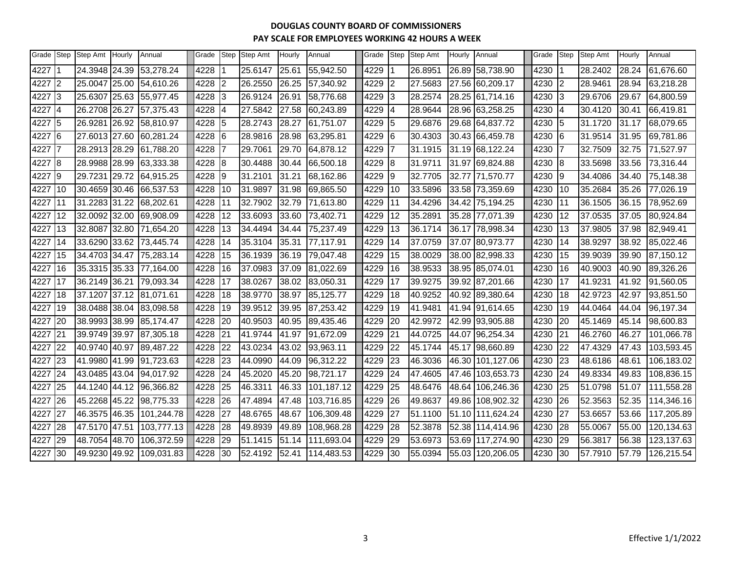| Grade Step |           | Step Amt      | <b>Hourly</b> | Annual                  | Grade |    | Step Step Amt | Hourly | Annual     | Grade | Step                     | Step Amt | Hourly | Annual           | Grade | Step | <b>Step Amt</b> | Hourly | Annual     |
|------------|-----------|---------------|---------------|-------------------------|-------|----|---------------|--------|------------|-------|--------------------------|----------|--------|------------------|-------|------|-----------------|--------|------------|
| 4227       |           | 24.3948 24.39 |               | 53,278.24               | 4228  |    | 25.6147       | 25.61  | 55,942.50  | 4229  |                          | 26.8951  |        | 26.89 58,738.90  | 4230  |      | 28.2402         | 28.24  | 61,676.60  |
| 4227       | 2         | 25.0047       | 25.00         | 54,610.26               | 4228  |    | 26.2550       | 26.25  | 57,340.92  | 4229  |                          | 27.5683  |        | 27.56 60,209.17  | 4230  | 2    | 28.9461         | 28.94  | 63,218.28  |
| 4227       | l3        | 25.6307 25.63 |               | 55,977.45               | 4228  | IЗ | 26.9124       | 26.91  | 58,776.68  | 4229  | 3                        | 28.2574  |        | 28.25 61,714.16  | 4230  | IЗ   | 29.6706         | 29.67  | 64,800.59  |
| 4227       | 14        | 26.2708 26.27 |               | 57,375.43               | 4228  | 4  | 27.5842       | 27.58  | 60,243.89  | 4229  | $\overline{\mathcal{L}}$ | 28.9644  |        | 28.96 63,258.25  | 4230  | 4    | 30.4120         | 30.41  | 66,419.81  |
| 4227       | 5         | 26.9281 26.92 |               | 58,810.97               | 4228  | 5  | 28.2743       | 28.27  | 61,751.07  | 4229  | 5                        | 29.6876  |        | 29.68 64,837.72  | 4230  | 5    | 31.1720         | 31.17  | 68,079.65  |
| 4227       | l6        | 27.6013 27.60 |               | 60,281.24               | 4228  | 6  | 28.9816       | 28.98  | 63,295.81  | 4229  | l6                       | 30.4303  |        | 30.43 66,459.78  | 4230  | 6    | 31.9514         | 31.95  | 69,781.86  |
| 4227       | 17        | 28.2913 28.29 |               | 61,788.20               | 4228  |    | 29.7061       | 29.70  | 64,878.12  | 4229  |                          | 31.1915  |        | 31.19 68,122.24  | 4230  |      | 32.7509         | 32.75  | 71,527.97  |
| 4227       | l8        | 28.9988 28.99 |               | 63,333.38               | 4228  | 8  | 30.4488       | 30.44  | 66,500.18  | 4229  | 18                       | 31.9711  |        | 31.97 69,824.88  | 4230  | 8    | 33.5698         | 33.56  | 73,316.44  |
| 4227       | 19        | 29.7231 29.72 |               | 64,915.25               | 4228  | Ι9 | 31.2101       | 31.21  | 68,162.86  | 4229  | 19                       | 32.7705  |        | 32.77 71,570.77  | 4230  | Ι9   | 34.4086         | 34.40  | 75,148.38  |
| 4227       | 10        | 30.4659 30.46 |               | 66,537.53               | 4228  | 10 | 31.9897       | 31.98  | 69,865.50  | 4229  | 10                       | 33.5896  |        | 33.58 73,359.69  | 4230  | 10   | 35.2684         | 35.26  | 77,026.19  |
| 4227       | <b>11</b> | 31.2283 31.22 |               | 68,202.61               | 4228  | 11 | 32.7902       | 32.79  | 71,613.80  | 4229  | 11                       | 34.4296  |        | 34.42 75,194.25  | 4230  | 11   | 36.1505         | 36.15  | 78,952.69  |
| 4227       | 12        | 32.0092 32.00 |               | 69,908.09               | 4228  | 12 | 33.6093       | 33.60  | 73,402.71  | 4229  | 12                       | 35.2891  |        | 35.28 77,071.39  | 4230  | 12   | 37.0535         | 37.05  | 80,924.84  |
| 4227       | 13        | 32.8087 32.80 |               | 71,654.20               | 4228  | 13 | 34.4494       | 34.44  | 75,237.49  | 4229  | 13                       | 36.1714  |        | 36.17 78,998.34  | 4230  | 13   | 37.9805         | 37.98  | 82,949.41  |
| 4227       | 14        |               |               | 33.6290 33.62 73,445.74 | 4228  | 14 | 35.3104       | 35.31  | 77,117.91  | 4229  | 14                       | 37.0759  |        | 37.07 80,973.77  | 4230  | 14   | 38.9297         | 38.92  | 85,022.46  |
| 4227       | 15        | 34.4703 34.47 |               | 75,283.14               | 4228  | 15 | 36.1939       | 36.19  | 79,047.48  | 4229  | 15                       | 38.0029  |        | 38.00 82,998.33  | 4230  | 15   | 39.9039         | 39.90  | 87,150.12  |
| 4227       | 16        |               |               | 35.3315 35.33 77,164.00 | 4228  | 16 | 37.0983       | 37.09  | 81,022.69  | 4229  | 16                       | 38.9533  |        | 38.95 85,074.01  | 4230  | 16   | 40.9003         | 40.90  | 89,326.26  |
| 4227       | l17       | 36.2149 36.21 |               | 79,093.34               | 4228  | 17 | 38.0267       | 38.02  | 83,050.31  | 4229  | 17                       | 39.9275  |        | 39.92 87,201.66  | 4230  | 17   | 41.9231         | 41.92  | 91,560.05  |
| 4227       | 18        | 37.1207 37.12 |               | 81,071.61               | 4228  | 18 | 38.9770       | 38.97  | 85,125.77  | 4229  | 18                       | 40.9252  |        | 40.92 89,380.64  | 4230  | 18   | 42.9723         | 42.97  | 93,851.50  |
| 4227       | 19        |               |               | 38.0488 38.04 83,098.58 | 4228  | 19 | 39.9512       | 39.95  | 87,253.42  | 4229  | 19                       | 41.9481  |        | 41.94 91,614.65  | 4230  | 19   | 44.0464         | 44.04  | 96,197.34  |
| 4227       | 20        | 38.9993 38.99 |               | 85,174.47               | 4228  | 20 | 40.9503       | 40.95  | 89,435.46  | 4229  | 20                       | 42.9972  |        | 42.99 93,905.88  | 4230  | 20   | 45.1469         | 45.14  | 98,600.83  |
| 4227       | 21        | 39.9749 39.97 |               | 87,305.18               | 4228  | 21 | 41.9744       | 41.97  | 91,672.09  | 4229  | 21                       | 44.0725  |        | 44.07 96,254.34  | 4230  | 21   | 46.2760         | 46.27  | 101,066.78 |
| 4227       | 22        | 40.9740 40.97 |               | 89,487.22               | 4228  | 22 | 43.0234       | 43.02  | 93,963.11  | 4229  | 22                       | 45.1744  |        | 45.17 98,660.89  | 4230  | 22   | 47.4329         | 47.43  | 103,593.45 |
| 4227       | 23        | 41.9980 41.99 |               | 91,723.63               | 4228  | 23 | 44.0990       | 44.09  | 96,312.22  | 4229  | 23                       | 46.3036  | 46.30  | 101,127.06       | 4230  | 23   | 48.6186         | 48.61  | 106,183.02 |
| 4227       | 24        | 43.0485 43.04 |               | 94,017.92               | 4228  | 24 | 45.2020       | 45.20  | 98,721.17  | 4229  | 24                       | 47.4605  |        | 47.46 103,653.73 | 4230  | 24   | 49.8334         | 49.83  | 108,836.15 |
| 4227       | 25        | 44.1240 44.12 |               | 96,366.82               | 4228  | 25 | 46.3311       | 46.33  | 101,187.12 | 4229  | 25                       | 48.6476  |        | 48.64 106,246.36 | 4230  | 25   | 51.0798         | 51.07  | 111,558.28 |
| 4227       | 26        | 45.2268 45.22 |               | 98,775.33               | 4228  | 26 | 47.4894       | 47.48  | 103,716.85 | 4229  | 26                       | 49.8637  |        | 49.86 108,902.32 | 4230  | 26   | 52.3563         | 52.35  | 114,346.16 |
| 4227       | 27        | 46.3575 46.35 |               | 101,244.78              | 4228  | 27 | 48.6765       | 48.67  | 106,309.48 | 4229  | 27                       | 51.1100  |        | 51.10 111,624.24 | 4230  | 27   | 53.6657         | 53.66  | 117,205.89 |
| 4227       | 28        | 47.5170 47.51 |               | 103,777.13              | 4228  | 28 | 49.8939       | 49.89  | 108,968.28 | 4229  | 28                       | 52.3878  |        | 52.38 114,414.96 | 4230  | 28   | 55.0067         | 55.00  | 120,134.63 |
| 4227       | 29        | 48.7054 48.70 |               | 106,372.59              | 4228  | 29 | 51.1415       | 51.14  | 111,693.04 | 4229  | 29                       | 53.6973  |        | 53.69 117,274.90 | 4230  | 29   | 56.3817         | 56.38  | 123,137.63 |
| 4227       | 30        | 49.9230 49.92 |               | 109,031.83              | 4228  | 30 | 52.4192       | 52.41  | 114,483.53 | 4229  | 30                       | 55.0394  |        | 55.03 120,206.05 | 4230  | 30   | 57.7910         | 57.79  | 126,215.54 |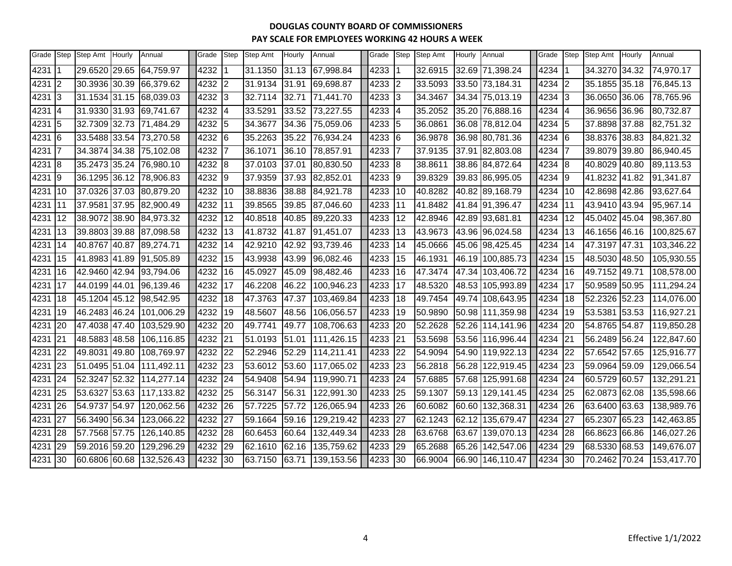| Grade | Step | Step Amt      | Hourly | Annual                   | Grade | Step | Step Amt | Hourly | Annual     | Grade | Step | Step Amt | Hourly | Annual           | Grade | Step | <b>Step Amt</b> | Hourly | Annual     |
|-------|------|---------------|--------|--------------------------|-------|------|----------|--------|------------|-------|------|----------|--------|------------------|-------|------|-----------------|--------|------------|
| 4231  |      | 29.6520 29.65 |        | 64,759.97                | 4232  |      | 31.1350  | 31.13  | 67,998.84  | 4233  |      | 32.6915  |        | 32.69 71,398.24  | 4234  |      | 34.3270 34.32   |        | 74,970.17  |
| 4231  | 12   | 30.3936 30.39 |        | 66,379.62                | 4232  | 2    | 31.9134  | 31.91  | 69,698.87  | 4233  | 2    | 33.5093  |        | 33.50 73,184.31  | 4234  | 2    | 35.1855 35.18   |        | 76,845.13  |
| 4231  | 3    | 31.1534 31.15 |        | 68,039.03                | 4232  | 3    | 32.7114  | 32.71  | 71,441.70  | 4233  | 3    | 34.3467  |        | 34.34 75,013.19  | 4234  | 3    | 36.0650         | 36.06  | 78,765.96  |
| 4231  | 14   |               |        | 31.9330 31.93 69,741.67  | 4232  | 4    | 33.5291  | 33.52  | 73,227.55  | 4233  | 4    | 35.2052  |        | 35.20 76,888.16  | 4234  | 4    | 36.9656 36.96   |        | 80,732.87  |
| 4231  | 5    |               |        | 32.7309 32.73 71,484.29  | 4232  | l5   | 34.3677  | 34.36  | 75,059.06  | 4233  | 5    | 36.0861  |        | 36.08 78,812.04  | 4234  | 5    | 37.8898 37.88   |        | 82,751.32  |
| 4231  | l6   |               |        | 33.5488 33.54 73,270.58  | 4232  | 16   | 35.2263  | 35.22  | 76,934.24  | 4233  | 6    | 36.9878  |        | 36.98 80,781.36  | 4234  | 16   | 38.8376 38.83   |        | 84,821.32  |
| 4231  | 7    | 34.3874 34.38 |        | 75,102.08                | 4232  |      | 36.1071  | 36.10  | 78,857.91  | 4233  | 7    | 37.9135  |        | 37.91 82,803.08  | 4234  |      | 39.8079         | 39.80  | 86,940.45  |
| 4231  | l8   | 35.2473 35.24 |        | 76,980.10                | 4232  | l8   | 37.0103  | 37.01  | 80,830.50  | 4233  | 8    | 38.8611  |        | 38.86 84,872.64  | 4234  | 8    | 40.8029         | 40.80  | 89,113.53  |
| 4231  | 19   |               |        | 36.1295 36.12 78,906.83  | 4232  | 19   | 37.9359  | 37.93  | 82,852.01  | 4233  | 9    | 39.8329  |        | 39.83 86,995.05  | 4234  | Ι9   | 41.8232 41.82   |        | 91,341.87  |
| 4231  | 10   | 37.0326 37.03 |        | 80,879.20                | 4232  | 10   | 38.8836  | 38.88  | 84,921.78  | 4233  | 10   | 40.8282  |        | 40.82 89,168.79  | 4234  | 10   | 42.8698 42.86   |        | 93,627.64  |
| 4231  | 11   |               |        | 37.9581 37.95 82,900.49  | 4232  | 11   | 39.8565  | 39.85  | 87,046.60  | 4233  | 11   | 41.8482  |        | 41.84 91,396.47  | 4234  | 11   | 43.9410 43.94   |        | 95,967.14  |
| 4231  | 12   | 38.9072 38.90 |        | 84,973.32                | 4232  | 12   | 40.8518  | 40.85  | 89,220.33  | 4233  | 12   | 42.8946  |        | 42.89 93,681.81  | 4234  | 12   | 45.0402         | 45.04  | 98,367.80  |
| 4231  | 13   | 39.8803 39.88 |        | 87,098.58                | 4232  | 13   | 41.8732  | 41.87  | 91,451.07  | 4233  | 13   | 43.9673  |        | 43.96 96,024.58  | 4234  | 13   | 46.1656 46.16   |        | 100,825.67 |
| 4231  | 14   |               |        | 40.8767 40.87 89,274.71  | 4232  | 14   | 42.9210  | 42.92  | 93,739.46  | 4233  | 14   | 45.0666  |        | 45.06 98,425.45  | 4234  | 14   | 47.3197 47.31   |        | 103,346.22 |
| 4231  | 15   | 41.8983 41.89 |        | 91,505.89                | 4232  | 15   | 43.9938  | 43.99  | 96,082.46  | 4233  | 15   | 46.1931  |        | 46.19 100,885.73 | 4234  | 15   | 48.5030         | 48.50  | 105,930.55 |
| 4231  | 16   |               |        | 42.9460 42.94 93,794.06  | 4232  | 16   | 45.0927  | 45.09  | 98,482.46  | 4233  | 16   | 47.3474  |        | 47.34 103,406.72 | 4234  | 16   | 49.7152 49.71   |        | 108,578.00 |
| 4231  | 17   | 44.0199 44.01 |        | 96,139.46                | 4232  | 17   | 46.2208  | 46.22  | 100,946.23 | 4233  | 17   | 48.5320  |        | 48.53 105,993.89 | 4234  | 17   | 50.9589 50.95   |        | 111,294.24 |
| 4231  | 18   | 45.1204 45.12 |        | 98,542.95                | 4232  | 18   | 47.3763  | 47.37  | 103,469.84 | 4233  | 18   | 49.7454  |        | 49.74 108,643.95 | 4234  | 18   | 52.2326 52.23   |        | 114,076.00 |
| 4231  | 19   |               |        | 46.2483 46.24 101,006.29 | 4232  | 19   | 48.5607  | 48.56  | 106,056.57 | 4233  | 19   | 50.9890  |        | 50.98 111,359.98 | 4234  | 19   | 53.5381 53.53   |        | 116,927.21 |
| 4231  | 20   | 47.4038 47.40 |        | 103,529.90               | 4232  | 20   | 49.7741  | 49.77  | 108,706.63 | 4233  | 20   | 52.2628  |        | 52.26 114,141.96 | 4234  | 20   | 54.8765 54.87   |        | 119,850.28 |
| 4231  | 21   | 48.5883 48.58 |        | 106,116.85               | 4232  | 21   | 51.0193  | 51.01  | 111,426.15 | 4233  | 21   | 53.5698  |        | 53.56 116,996.44 | 4234  | 21   | 56.2489 56.24   |        | 122,847.60 |
| 4231  | 22   | 49.8031 49.80 |        | 108,769.97               | 4232  | 22   | 52.2946  | 52.29  | 114,211.41 | 4233  | 22   | 54.9094  |        | 54.90 119,922.13 | 4234  | 22   | 57.6542 57.65   |        | 125,916.77 |
| 4231  | 23   | 51.0495 51.04 |        | 111,492.11               | 4232  | 23   | 53.6012  | 53.60  | 117,065.02 | 4233  | 23   | 56.2818  |        | 56.28 122,919.45 | 4234  | 23   | 59.0964 59.09   |        | 129,066.54 |
| 4231  | 24   | 52.3247 52.32 |        | 114,277.14               | 4232  | 24   | 54.9408  | 54.94  | 119,990.71 | 4233  | 24   | 57.6885  |        | 57.68 125,991.68 | 4234  | 24   | 60.5729 60.57   |        | 132,291.21 |
| 4231  | 25   |               |        | 53.6327 53.63 117,133.82 | 4232  | 25   | 56.3147  | 56.31  | 122,991.30 | 4233  | 25   | 59.1307  |        | 59.13 129,141.45 | 4234  | 25   | 62.0873 62.08   |        | 135,598.66 |
| 4231  | 26   | 54.9737 54.97 |        | 120,062.56               | 4232  | 26   | 57.7225  | 57.72  | 126,065.94 | 4233  | 26   | 60.6082  |        | 60.60 132,368.31 | 4234  | 26   | 63.6400 63.63   |        | 138,989.76 |
| 4231  | 27   | 56.3490 56.34 |        | 123,066.22               | 4232  | 27   | 59.1664  | 59.16  | 129,219.42 | 4233  | 27   | 62.1243  |        | 62.12 135,679.47 | 4234  | 27   | 65.2307         | 65.23  | 142,463.85 |
| 4231  | 28   | 57.7568 57.75 |        | 126,140.85               | 4232  | 28   | 60.6453  | 60.64  | 132,449.34 | 4233  | 28   | 63.6768  | 63.67  | 139,070.13       | 4234  | 28   | 66.8623         | 66.86  | 146,027.26 |
| 4231  | 29   | 59.2016 59.20 |        | 129,296.29               | 4232  | 29   | 62.1610  | 62.16  | 135,759.62 | 4233  | 29   | 65.2688  |        | 65.26 142,547.06 | 4234  | 29   | 68.5330 68.53   |        | 149,676.07 |
| 4231  | 30   | 60.6806 60.68 |        | 132,526.43               | 4232  | 30   | 63.7150  | 63.71  | 139,153.56 | 4233  | 30   | 66.9004  |        | 66.90 146,110.47 | 4234  | 30   | 70.2462 70.24   |        | 153,417.70 |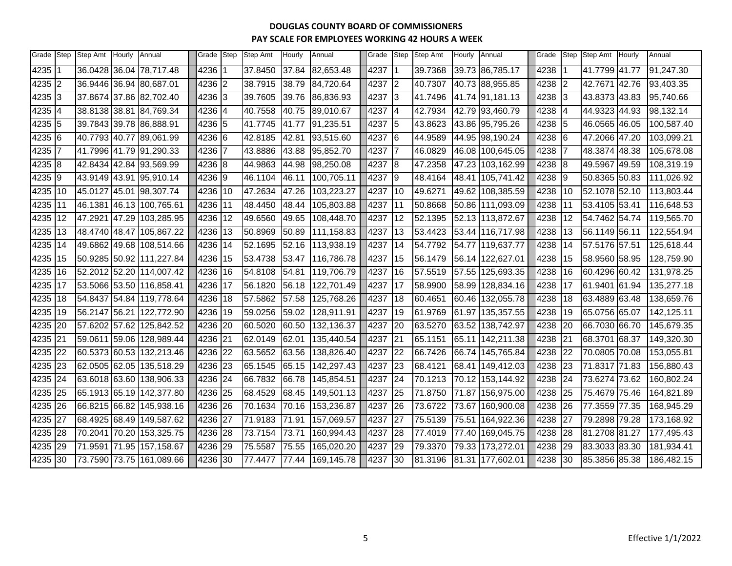| Grade   | Step | Step Amt | Hourly | Annual                   | Grade  | Step | <b>Step Amt</b> | Hourly | Annual     | Grade | Step      | <b>Step Amt</b> | Hourly | Annual           | Grade | Step | Step Amt      | Hourly | Annual     |
|---------|------|----------|--------|--------------------------|--------|------|-----------------|--------|------------|-------|-----------|-----------------|--------|------------------|-------|------|---------------|--------|------------|
| 4235    |      |          |        | 36.0428 36.04 78,717.48  | 4236   |      | 37.8450         | 37.84  | 82,653.48  | 4237  |           | 39.7368         |        | 39.73 86,785.17  | 4238  |      | 41.7799 41.77 |        | 91,247.30  |
| 4235 2  |      |          |        | 36.9446 36.94 80,687.01  | 4236 2 |      | 38.7915         | 38.79  | 84,720.64  | 4237  | I2        | 40.7307         |        | 40.73 88,955.85  | 4238  | 12   | 42.7671       | 42.76  | 93,403.35  |
| 4235    | 13   |          |        | 37.8674 37.86 82,702.40  | 4236 3 |      | 39.7605         | 39.76  | 86,836.93  | 4237  | l3        | 41.7496         |        | 41.74 91,181.13  | 4238  | 13   | 43.8373 43.83 |        | 95,740.66  |
| 4235    | 14   |          |        | 38.8138 38.81 84,769.34  | 4236 4 |      | 40.7558         | 40.75  | 89,010.67  | 4237  | 14        | 42.7934         |        | 42.79 93,460.79  | 4238  | 14   | 44.9323       | 44.93  | 98,132.14  |
| 4235    | 15   |          |        | 39.7843 39.78 86,888.91  | 4236 5 |      | 41.7745         | 41.77  | 91,235.51  | 4237  | 15        | 43.8623         |        | 43.86 95,795.26  | 4238  | 15   | 46.0565 46.05 |        | 100,587.40 |
| 4235    | 16   |          |        | 40.7793 40.77 89,061.99  | 4236 6 |      | 42.8185         | 42.81  | 93,515.60  | 4237  | 16        | 44.9589         |        | 44.95 98,190.24  | 4238  | 16   | 47.2066 47.20 |        | 103,099.21 |
| 4235    | 17   |          |        | 41.7996 41.79 91,290.33  | 4236   |      | 43.8886         | 43.88  | 95,852.70  | 4237  |           | 46.0829         |        | 46.08 100,645.05 | 4238  |      | 48.3874       | 48.38  | 105,678.08 |
| 4235 8  |      |          |        | 42.8434 42.84 93,569.99  | 4236 8 |      | 44.9863         | 44.98  | 98,250.08  | 4237  | 18        | 47.2358         |        | 47.23 103,162.99 | 4238  | -18  | 49.5967       | 49.59  | 108,319.19 |
| 4235 9  |      |          |        | 43.9149 43.91 95,910.14  | 4236 9 |      | 46.1104         | 46.11  | 100,705.11 | 4237  | 9         | 48.4164         |        | 48.41 105,741.42 | 4238  | 19   | 50.8365 50.83 |        | 111,026.92 |
| 4235    | 10   |          |        | 45.0127 45.01 98,307.74  | 4236   | 10   | 47.2634         | 47.26  | 103,223.27 | 4237  | 10        | 49.6271         |        | 49.62 108,385.59 | 4238  | 10   | 52.1078 52.10 |        | 113,803.44 |
| 4235    | 11   |          |        | 46.1381 46.13 100,765.61 | 4236   | 11   | 48.4450         | 48.44  | 105,803.88 | 4237  | 11        | 50.8668         |        | 50.86 111,093.09 | 4238  | 11   | 53.4105 53.41 |        | 116,648.53 |
| 4235    | I12  |          |        | 47.2921 47.29 103,285.95 | 4236   | 12   | 49.6560         | 49.65  | 108,448.70 | 4237  | 12        | 52.1395         |        | 52.13 113,872.67 | 4238  | 12   | 54.7462 54.74 |        | 119,565.70 |
| 4235    | 13   |          |        | 48.4740 48.47 105,867.22 | 4236   | 13   | 50.8969         | 50.89  | 111,158.83 | 4237  | 13        | 53.4423         |        | 53.44 116,717.98 | 4238  | 13   | 56.1149 56.11 |        | 122,554.94 |
| 4235    | 14   |          |        | 49.6862 49.68 108,514.66 | 4236   | 14   | 52.1695         | 52.16  | 113,938.19 | 4237  | <b>14</b> | 54.7792         | 54.77  | 119,637.77       | 4238  | 14   | 57.5176 57.51 |        | 125,618.44 |
| 4235    | 15   |          |        | 50.9285 50.92 111,227.84 | 4236   | 15   | 53.4738         | 53.47  | 116,786.78 | 4237  | 15        | 56.1479         | 56.14  | 122,627.01       | 4238  | 15   | 58.9560 58.95 |        | 128,759.90 |
| 4235    | 116  |          |        | 52.2012 52.20 114,007.42 | 4236   | 16   | 54.8108         | 54.81  | 119,706.79 | 4237  | 16        | 57.5519         |        | 57.55 125,693.35 | 4238  | 16   | 60.4296       | 60.42  | 131,978.25 |
| 4235    | 17   |          |        | 53.5066 53.50 116,858.41 | 4236   | 17   | 56.1820         | 56.18  | 122,701.49 | 4237  | 17        | 58.9900         |        | 58.99 128,834.16 | 4238  | 17   | 61.9401 61.94 |        | 135,277.18 |
| 4235    | 18   |          |        | 54.8437 54.84 119,778.64 | 4236   | 18   | 57.5862         | 57.58  | 125,768.26 | 4237  | 18        | 60.4651         | 60.46  | 132,055.78       | 4238  | 18   | 63.4889 63.48 |        | 138,659.76 |
| 4235    | 19   |          |        | 56.2147 56.21 122,772.90 | 4236   | 19   | 59.0256         | 59.02  | 128,911.91 | 4237  | 19        | 61.9769         | 61.97  | 135,357.55       | 4238  | 19   | 65.0756 65.07 |        | 142,125.11 |
| 4235    | 20   |          |        | 57.6202 57.62 125,842.52 | 4236   | 20   | 60.5020         | 60.50  | 132,136.37 | 4237  | 20        | 63.5270         | 63.52  | 138,742.97       | 4238  | 20   | 66.7030 66.70 |        | 145,679.35 |
| 4235    | 21   |          |        | 59.0611 59.06 128,989.44 | 4236   | 21   | 62.0149         | 62.01  | 135,440.54 | 4237  | 21        | 65.1151         |        | 65.11 142,211.38 | 4238  | 21   | 68.3701       | 68.37  | 149,320.30 |
| 4235    | 22   |          |        | 60.5373 60.53 132,213.46 | 4236   | 22   | 63.5652         | 63.56  | 138,826.40 | 4237  | 22        | 66.7426         |        | 66.74 145,765.84 | 4238  | 22   | 70.0805 70.08 |        | 153,055.81 |
| 4235    | 23   |          |        | 62.0505 62.05 135,518.29 | 4236   | 23   | 65.1545         | 65.15  | 142,297.43 | 4237  | 23        | 68.4121         | 68.41  | 149,412.03       | 4238  | 23   | 71.8317       | 71.83  | 156,880.43 |
| 4235    | 24   |          |        | 63.6018 63.60 138,906.33 | 4236   | 24   | 66.7832         | 66.78  | 145,854.51 | 4237  | 24        | 70.1213         |        | 70.12 153,144.92 | 4238  | 24   | 73.6274 73.62 |        | 160,802.24 |
| 4235    | 25   |          |        | 65.1913 65.19 142,377.80 | 4236   | 25   | 68.4529         | 68.45  | 149,501.13 | 4237  | 25        | 71.8750         | 71.87  | 156,975.00       | 4238  | 25   | 75.4679       | 75.46  | 164,821.89 |
| 4235    | 26   |          |        | 66.8215 66.82 145,938.16 | 4236   | 26   | 70.1634         | 70.16  | 153,236.87 | 4237  | 26        | 73.6722         | 73.67  | 160,900.08       | 4238  | 26   | 77.3559       | 77.35  | 168,945.29 |
| 4235    | 27   |          |        | 68.4925 68.49 149,587.62 | 4236   | 27   | 71.9183         | 71.91  | 157,069.57 | 4237  | 27        | 75.5139         |        | 75.51 164,922.36 | 4238  | 27   | 79.2898 79.28 |        | 173,168.92 |
| 4235    | 28   |          |        | 70.2041 70.20 153,325.75 | 4236   | 28   | 73.7154         | 73.71  | 160,994.43 | 4237  | 28        | 77.4019         | 77.40  | 169,045.75       | 4238  | 28   | 81.2708 81.27 |        | 177,495.43 |
| 4235    | 29   |          |        | 71.9591 71.95 157,158.67 | 4236   | 29   | 75.5587         | 75.55  | 165,020.20 | 4237  | 29        | 79.3370         |        | 79.33 173,272.01 | 4238  | 29   | 83.3033 83.30 |        | 181,934.41 |
| 4235 30 |      |          |        | 73.7590 73.75 161,089.66 | 4236   | 30   | 77.4477         | 77.44  | 169,145.78 | 4237  | 30        | 81.3196         |        | 81.31 177,602.01 | 4238  | 30   | 85.3856 85.38 |        | 186,482.15 |